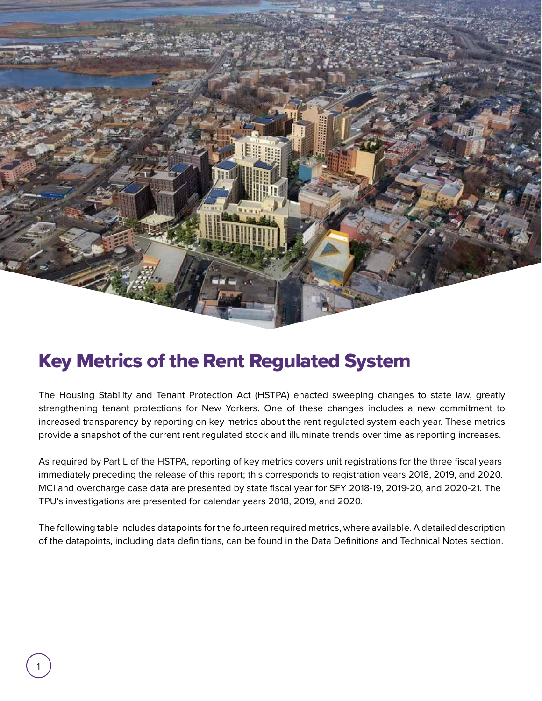

## Key Metrics of the Rent Regulated System

The Housing Stability and Tenant Protection Act (HSTPA) enacted sweeping changes to state law, greatly strengthening tenant protections for New Yorkers. One of these changes includes a new commitment to increased transparency by reporting on key metrics about the rent regulated system each year. These metrics provide a snapshot of the current rent regulated stock and illuminate trends over time as reporting increases.

As required by Part L of the HSTPA, reporting of key metrics covers unit registrations for the three fiscal years immediately preceding the release of this report; this corresponds to registration years 2018, 2019, and 2020. MCI and overcharge case data are presented by state fiscal year for SFY 2018-19, 2019-20, and 2020-21. The TPU's investigations are presented for calendar years 2018, 2019, and 2020.

The following table includes datapoints for the fourteen required metrics, where available. A detailed description of the datapoints, including data definitions, can be found in the Data Definitions and Technical Notes section.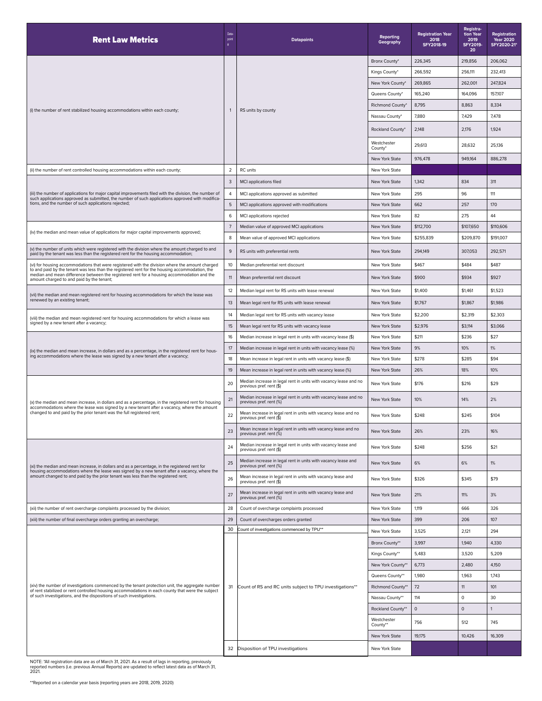| <b>Rent Law Metrics</b>                                                                                                                                                                                                                                                                                                                      | Data<br>point  | <b>Datapoints</b>                                                                                         | <b>Reporting</b><br>Geography | <b>Registration Year</b><br>2018<br>SFY2018-19 | Registra-<br>tion Year<br>2019<br><b>SFY2019-</b><br>20 | Registration<br><b>Year 2020</b><br>SFY2020-21* |
|----------------------------------------------------------------------------------------------------------------------------------------------------------------------------------------------------------------------------------------------------------------------------------------------------------------------------------------------|----------------|-----------------------------------------------------------------------------------------------------------|-------------------------------|------------------------------------------------|---------------------------------------------------------|-------------------------------------------------|
| (i) the number of rent stabilized housing accommodations within each county;                                                                                                                                                                                                                                                                 | $\overline{1}$ | RS units by county                                                                                        | Bronx County*                 | 226,345                                        | 219,856                                                 | 206,062                                         |
|                                                                                                                                                                                                                                                                                                                                              |                |                                                                                                           | Kings County*                 | 266,592                                        | 256,111                                                 | 232,413                                         |
|                                                                                                                                                                                                                                                                                                                                              |                |                                                                                                           | New York County*              | 269,865                                        | 262,001                                                 | 247,824                                         |
|                                                                                                                                                                                                                                                                                                                                              |                |                                                                                                           | Queens County*                | 165,240                                        | 164,096                                                 | 157,107                                         |
|                                                                                                                                                                                                                                                                                                                                              |                |                                                                                                           | Richmond County*              | 8,795                                          | 8,863                                                   | 8,334                                           |
|                                                                                                                                                                                                                                                                                                                                              |                |                                                                                                           | Nassau County*                | 7,880                                          | 7,429                                                   | 7,478                                           |
|                                                                                                                                                                                                                                                                                                                                              |                |                                                                                                           | Rockland County'              | 2,148                                          | 2,176                                                   | 1,924                                           |
|                                                                                                                                                                                                                                                                                                                                              |                |                                                                                                           | Westchester<br>County*        | 29,613                                         | 28,632                                                  | 25,136                                          |
|                                                                                                                                                                                                                                                                                                                                              |                |                                                                                                           | New York State                | 976,478                                        | 949,164                                                 | 886,278                                         |
| (ii) the number of rent controlled housing accommodations within each county;                                                                                                                                                                                                                                                                | $\overline{2}$ | RC units                                                                                                  | New York State                |                                                |                                                         |                                                 |
| (iii) the number of applications for major capital improvements filed with the division, the number of<br>such applications approved as submitted, the number of such applications approved with modifica-<br>tions, and the number of such applications rejected;                                                                           | 3              | MCI applications filed                                                                                    | New York State                | 1,342                                          | 834                                                     | 311                                             |
|                                                                                                                                                                                                                                                                                                                                              | $\overline{4}$ | MCI applications approved as submitted                                                                    | New York State                | 295                                            | 96                                                      | 111                                             |
|                                                                                                                                                                                                                                                                                                                                              | $\mathbf 5$    | MCI applications approved with modifications                                                              | New York State                | 662                                            | 257                                                     | 170                                             |
|                                                                                                                                                                                                                                                                                                                                              | 6              | MCI applications rejected                                                                                 | New York State                | 82                                             | 275                                                     | 44                                              |
| (iv) the median and mean value of applications for major capital improvements approved;                                                                                                                                                                                                                                                      | $\overline{7}$ | Median value of approved MCI applications                                                                 | New York State                | \$112,700                                      | \$107,650                                               | \$110,606                                       |
|                                                                                                                                                                                                                                                                                                                                              | 8              | Mean value of approved MCI applications                                                                   | New York State                | \$255,839                                      | \$209,870                                               | \$191,007                                       |
| (v) the number of units which were registered with the division where the amount charged to and<br>paid by the tenant was less than the registered rent for the housing accommodation;                                                                                                                                                       | $\,9$          | RS units with preferential rents                                                                          | New York State                | 294,149                                        | 307,053                                                 | 292,571                                         |
| (vi) for housing accommodations that were registered with the division where the amount charged<br>to and paid by the tenant was less than the registered rent for the housing accommodation, the<br>median and mean difference between the registered rent for a housing accommodation and the<br>amount charged to and paid by the tenant; | 10             | Median preferential rent discount                                                                         | New York State                | \$467                                          | \$484                                                   | \$487                                           |
|                                                                                                                                                                                                                                                                                                                                              | 11             | Mean preferential rent discount                                                                           | New York State                | \$900                                          | \$934                                                   | \$927                                           |
| (vii) the median and mean registered rent for housing accommodations for which the lease was<br>renewed by an existing tenant;                                                                                                                                                                                                               | 12             | Median legal rent for RS units with lease renewal                                                         | New York State                | \$1,400                                        | \$1,461                                                 | \$1,523                                         |
|                                                                                                                                                                                                                                                                                                                                              | 13             | Mean legal rent for RS units with lease renewal                                                           | New York State                | \$1,767                                        | \$1,867                                                 | \$1,986                                         |
|                                                                                                                                                                                                                                                                                                                                              | 14             | Median legal rent for RS units with vacancy lease                                                         | New York State                | \$2,200                                        | \$2,319                                                 | \$2,303                                         |
| (viii) the median and mean registered rent for housing accommodations for which a lease was<br>signed by a new tenant after a vacancy;                                                                                                                                                                                                       | 15             | Mean legal rent for RS units with vacancy lease                                                           | New York State                | \$2,976                                        | \$3,114                                                 | \$3,066                                         |
| (ix) the median and mean increase, in dollars and as a percentage, in the registered rent for hous-<br>ing accommodations where the lease was signed by a new tenant after a vacancy;                                                                                                                                                        | 16             | Median increase in legal rent in units with vacancy lease (\$)                                            | New York State                | \$211                                          | \$236                                                   | \$27                                            |
|                                                                                                                                                                                                                                                                                                                                              | 17             | Median increase in legal rent in units with vacancy lease (%)                                             | New York State                | 9%                                             | 10%                                                     | $1\%$                                           |
|                                                                                                                                                                                                                                                                                                                                              | 18             | Mean increase in legal rent in units with vacancy lease (\$)                                              | New York State                | \$278                                          | \$285                                                   | \$94                                            |
|                                                                                                                                                                                                                                                                                                                                              | 19             | Mean increase in legal rent in units with vacancy lease (%)                                               | New York State                | 26%                                            | 18%                                                     | 10%                                             |
| (x) the median and mean increase, in dollars and as a percentage, in the registered rent for housing<br>accommodations where the lease was signed by a new tenant after a vacancy, where the amount<br>changed to and paid by the prior tenant was the full registered rent;                                                                 | 20             | Median increase in legal rent in units with vacancy lease and no<br>previous pref. rent (\$)              | New York State                | \$176                                          | \$216                                                   | \$29                                            |
|                                                                                                                                                                                                                                                                                                                                              | 21             | Median increase in legal rent in units with vacancy lease and no<br>previous pref. rent (%)               | New York State                | 10%                                            | 14%                                                     | 2%                                              |
|                                                                                                                                                                                                                                                                                                                                              | 22             | Mean increase in legal rent in units with vacancy lease and no<br>previous pref. rent (\$)                | New York State                | \$248                                          | \$245                                                   | \$104                                           |
|                                                                                                                                                                                                                                                                                                                                              | 23             | Mean increase in legal rent in units with vacancy lease and no<br>previous pref. rent (%)                 | New York State                | 26%                                            | 23%                                                     | 16%                                             |
| (xi) the median and mean increase, in dollars and as a percentage, in the registered rent for<br>housing accommodations where the lease was signed by a new tenant after a vacancy, where the<br>amount changed to and paid by the prior tenant was less than the registered rent;                                                           | 24             | Median increase in legal rent in units with vacancy lease and<br>previous pref. rent (\$)                 | New York State                | \$248                                          | \$256                                                   | \$21                                            |
|                                                                                                                                                                                                                                                                                                                                              | 25             | Median increase in legal rent in units with vacancy lease and<br>previous pref. rent (%)                  | New York State                | 6%                                             | 6%                                                      | 1%                                              |
|                                                                                                                                                                                                                                                                                                                                              | 26             | Mean increase in legal rent in units with vacancy lease and<br>previous pref. rent (\$)                   | New York State                | \$326                                          | \$345                                                   | \$79                                            |
|                                                                                                                                                                                                                                                                                                                                              | 27             | Mean increase in legal rent in units with vacancy lease and<br>previous pref. rent (%)                    | New York State                | 21%                                            | 11%                                                     | 3%                                              |
| (xii) the number of rent overcharge complaints processed by the division;                                                                                                                                                                                                                                                                    | 28             | Count of overcharge complaints processed                                                                  | New York State                | 1,119                                          | 666                                                     | 326                                             |
| (xiii) the number of final overcharge orders granting an overcharge;                                                                                                                                                                                                                                                                         | 29             | Count of overcharges orders granted                                                                       | New York State                | 399                                            | 206                                                     | 107                                             |
| (xiv) the number of investigations commenced by the tenant protection unit, the aggregate number<br>of rent stabilized or rent controlled housing accommodations in each county that were the subject<br>of such investigations, and the dispositions of such investigations.                                                                | 30             | Count of investigations commenced by TPU**<br>31 Count of RS and RC units subject to TPU investigations** | New York State                | 3,525                                          | 2,121                                                   | 294                                             |
|                                                                                                                                                                                                                                                                                                                                              |                |                                                                                                           | Bronx County**                | 3,997                                          | 1,940                                                   | 4,330                                           |
|                                                                                                                                                                                                                                                                                                                                              |                |                                                                                                           | Kings County**                | 5,483                                          | 3,520                                                   | 5,209                                           |
|                                                                                                                                                                                                                                                                                                                                              |                |                                                                                                           | New York County*              | 6,773                                          | 2,480                                                   | 4,150                                           |
|                                                                                                                                                                                                                                                                                                                                              |                |                                                                                                           | Queens County**               | 1,980                                          | 1,963                                                   | 1,743                                           |
|                                                                                                                                                                                                                                                                                                                                              |                |                                                                                                           | Richmond County**             | 72                                             | 11                                                      | 101                                             |
|                                                                                                                                                                                                                                                                                                                                              |                |                                                                                                           | Nassau County**               | 114                                            | $\circ$                                                 | 30                                              |
|                                                                                                                                                                                                                                                                                                                                              |                |                                                                                                           | Rockland County**             | $\mathsf{O}\xspace$                            | $\mathbf{0}$                                            | 1                                               |
|                                                                                                                                                                                                                                                                                                                                              |                |                                                                                                           | Westchester<br>County**       | 756                                            | 512                                                     | 745                                             |
|                                                                                                                                                                                                                                                                                                                                              |                |                                                                                                           | New York State                | 19,175                                         | 10,426                                                  | 16,309                                          |
|                                                                                                                                                                                                                                                                                                                                              | 32             | Disposition of TPU investigations                                                                         | New York State                |                                                |                                                         |                                                 |

NOTE: \*All registration data are as of March 31, 2021. As a result of lags in reporting, previously reported numbers (i.e. previous Annual Reports) are updated to reflect latest data as of March 31, 2021.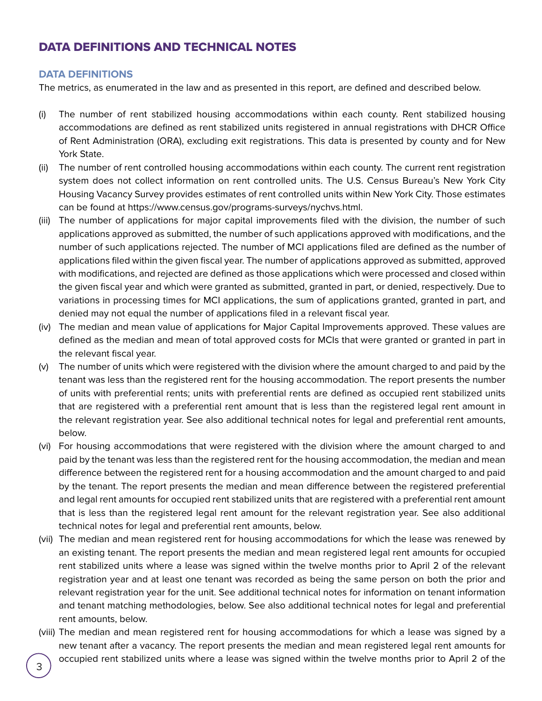## DATA DEFINITIONS AND TECHNICAL NOTES

## **DATA DEFINITIONS**

The metrics, as enumerated in the law and as presented in this report, are defined and described below.

- (i) The number of rent stabilized housing accommodations within each county. Rent stabilized housing accommodations are defined as rent stabilized units registered in annual registrations with DHCR Office of Rent Administration (ORA), excluding exit registrations. This data is presented by county and for New York State.
- (ii) The number of rent controlled housing accommodations within each county. The current rent registration system does not collect information on rent controlled units. The U.S. Census Bureau's New York City Housing Vacancy Survey provides estimates of rent controlled units within New York City. Those estimates can be found at https://www.census.gov/programs-surveys/nychvs.html.
- (iii) The number of applications for major capital improvements filed with the division, the number of such applications approved as submitted, the number of such applications approved with modifications, and the number of such applications rejected. The number of MCI applications filed are defined as the number of applications filed within the given fiscal year. The number of applications approved as submitted, approved with modifications, and rejected are defined as those applications which were processed and closed within the given fiscal year and which were granted as submitted, granted in part, or denied, respectively. Due to variations in processing times for MCI applications, the sum of applications granted, granted in part, and denied may not equal the number of applications filed in a relevant fiscal year.
- (iv) The median and mean value of applications for Major Capital Improvements approved. These values are defined as the median and mean of total approved costs for MCIs that were granted or granted in part in the relevant fiscal year.
- (v) The number of units which were registered with the division where the amount charged to and paid by the tenant was less than the registered rent for the housing accommodation. The report presents the number of units with preferential rents; units with preferential rents are defined as occupied rent stabilized units that are registered with a preferential rent amount that is less than the registered legal rent amount in the relevant registration year. See also additional technical notes for legal and preferential rent amounts, below.
- (vi) For housing accommodations that were registered with the division where the amount charged to and paid by the tenant was less than the registered rent for the housing accommodation, the median and mean difference between the registered rent for a housing accommodation and the amount charged to and paid by the tenant. The report presents the median and mean difference between the registered preferential and legal rent amounts for occupied rent stabilized units that are registered with a preferential rent amount that is less than the registered legal rent amount for the relevant registration year. See also additional technical notes for legal and preferential rent amounts, below.
- (vii) The median and mean registered rent for housing accommodations for which the lease was renewed by an existing tenant. The report presents the median and mean registered legal rent amounts for occupied rent stabilized units where a lease was signed within the twelve months prior to April 2 of the relevant registration year and at least one tenant was recorded as being the same person on both the prior and relevant registration year for the unit. See additional technical notes for information on tenant information and tenant matching methodologies, below. See also additional technical notes for legal and preferential rent amounts, below.
- (viii) The median and mean registered rent for housing accommodations for which a lease was signed by a new tenant after a vacancy. The report presents the median and mean registered legal rent amounts for occupied rent stabilized units where a lease was signed within the twelve months prior to April 2 of the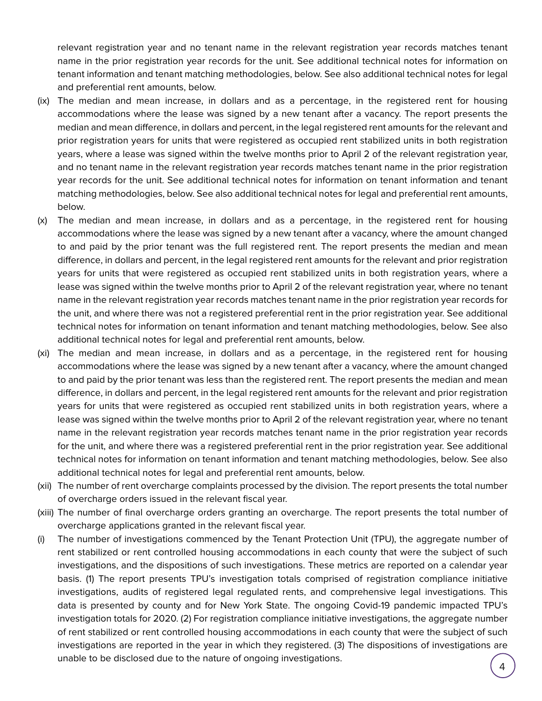relevant registration year and no tenant name in the relevant registration year records matches tenant name in the prior registration year records for the unit. See additional technical notes for information on tenant information and tenant matching methodologies, below. See also additional technical notes for legal and preferential rent amounts, below.

- (ix) The median and mean increase, in dollars and as a percentage, in the registered rent for housing accommodations where the lease was signed by a new tenant after a vacancy. The report presents the median and mean difference, in dollars and percent, in the legal registered rent amounts for the relevant and prior registration years for units that were registered as occupied rent stabilized units in both registration years, where a lease was signed within the twelve months prior to April 2 of the relevant registration year, and no tenant name in the relevant registration year records matches tenant name in the prior registration year records for the unit. See additional technical notes for information on tenant information and tenant matching methodologies, below. See also additional technical notes for legal and preferential rent amounts, below.
- (x) The median and mean increase, in dollars and as a percentage, in the registered rent for housing accommodations where the lease was signed by a new tenant after a vacancy, where the amount changed to and paid by the prior tenant was the full registered rent. The report presents the median and mean difference, in dollars and percent, in the legal registered rent amounts for the relevant and prior registration years for units that were registered as occupied rent stabilized units in both registration years, where a lease was signed within the twelve months prior to April 2 of the relevant registration year, where no tenant name in the relevant registration year records matches tenant name in the prior registration year records for the unit, and where there was not a registered preferential rent in the prior registration year. See additional technical notes for information on tenant information and tenant matching methodologies, below. See also additional technical notes for legal and preferential rent amounts, below.
- (xi) The median and mean increase, in dollars and as a percentage, in the registered rent for housing accommodations where the lease was signed by a new tenant after a vacancy, where the amount changed to and paid by the prior tenant was less than the registered rent. The report presents the median and mean difference, in dollars and percent, in the legal registered rent amounts for the relevant and prior registration years for units that were registered as occupied rent stabilized units in both registration years, where a lease was signed within the twelve months prior to April 2 of the relevant registration year, where no tenant name in the relevant registration year records matches tenant name in the prior registration year records for the unit, and where there was a registered preferential rent in the prior registration year. See additional technical notes for information on tenant information and tenant matching methodologies, below. See also additional technical notes for legal and preferential rent amounts, below.
- (xii) The number of rent overcharge complaints processed by the division. The report presents the total number of overcharge orders issued in the relevant fiscal year.
- (xiii) The number of final overcharge orders granting an overcharge. The report presents the total number of overcharge applications granted in the relevant fiscal year.
- (i) The number of investigations commenced by the Tenant Protection Unit (TPU), the aggregate number of rent stabilized or rent controlled housing accommodations in each county that were the subject of such investigations, and the dispositions of such investigations. These metrics are reported on a calendar year basis. (1) The report presents TPU's investigation totals comprised of registration compliance initiative investigations, audits of registered legal regulated rents, and comprehensive legal investigations. This data is presented by county and for New York State. The ongoing Covid-19 pandemic impacted TPU's investigation totals for 2020. (2) For registration compliance initiative investigations, the aggregate number of rent stabilized or rent controlled housing accommodations in each county that were the subject of such investigations are reported in the year in which they registered. (3) The dispositions of investigations are unable to be disclosed due to the nature of ongoing investigations.